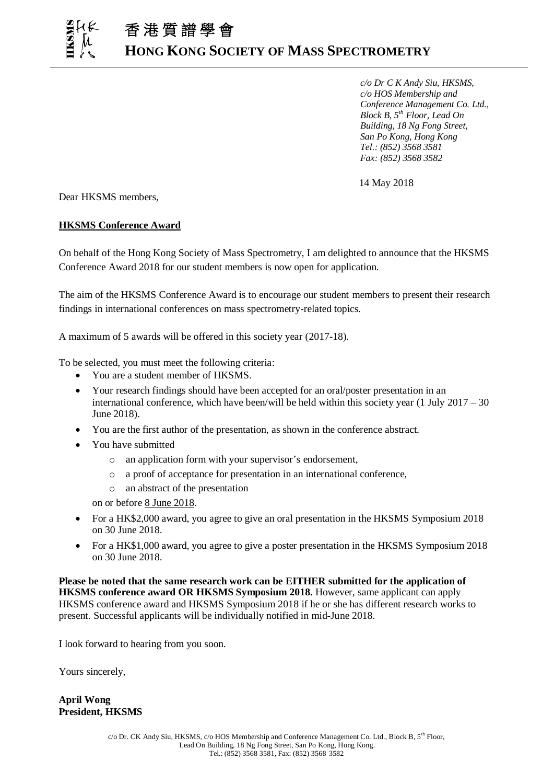*c/o Dr C K Andy Siu, HKSMS, c/o HOS Membership and Conference Management Co. Ltd., Block B, 5th Floor, Lead On Building, 18 Ng Fong Street, San Po Kong, Hong Kong Tel.: (852) 3568 3581 Fax: (852) 3568 3582*

14 May 2018

Dear HKSMS members,

ֺ֖֚֝֬

## **HKSMS Conference Award**

On behalf of the Hong Kong Society of Mass Spectrometry, I am delighted to announce that the HKSMS Conference Award 2018 for our student members is now open for application.

The aim of the HKSMS Conference Award is to encourage our student members to present their research findings in international conferences on mass spectrometry-related topics.

A maximum of 5 awards will be offered in this society year (2017-18).

To be selected, you must meet the following criteria:

- You are a student member of HKSMS.
- Your research findings should have been accepted for an oral/poster presentation in an international conference, which have been/will be held within this society year (1 July  $2017 - 30$ ) June 2018).
- You are the first author of the presentation, as shown in the conference abstract.
- You have submitted
	- o an application form with your supervisor's endorsement,
	- o a proof of acceptance for presentation in an international conference,
	- o an abstract of the presentation

on or before 8 June 2018.

- For a HK\$2,000 award, you agree to give an oral presentation in the HKSMS Symposium 2018 on 30 June 2018.
- For a HK\$1,000 award, you agree to give a poster presentation in the HKSMS Symposium 2018 on 30 June 2018.

**Please be noted that the same research work can be EITHER submitted for the application of HKSMS conference award OR HKSMS Symposium 2018.** However, same applicant can apply HKSMS conference award and HKSMS Symposium 2018 if he or she has different research works to present. Successful applicants will be individually notified in mid-June 2018.

I look forward to hearing from you soon.

Yours sincerely,

**April Wong President, HKSMS**